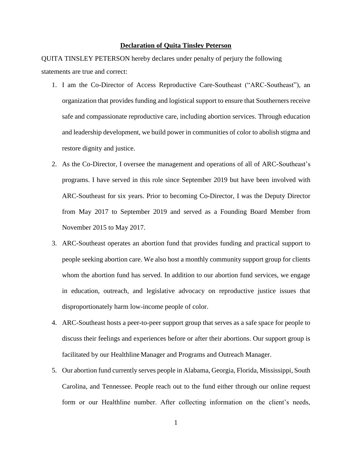## **Declaration of Quita Tinsley Peterson**

QUITA TINSLEY PETERSON hereby declares under penalty of perjury the following statements are true and correct:

- 1. I am the Co-Director of Access Reproductive Care-Southeast ("ARC-Southeast"), an organization that provides funding and logistical support to ensure that Southerners receive safe and compassionate reproductive care, including abortion services. Through education and leadership development, we build power in communities of color to abolish stigma and restore dignity and justice.
- 2. As the Co-Director, I oversee the management and operations of all of ARC-Southeast's programs. I have served in this role since September 2019 but have been involved with ARC-Southeast for six years. Prior to becoming Co-Director, I was the Deputy Director from May 2017 to September 2019 and served as a Founding Board Member from November 2015 to May 2017.
- 3. ARC-Southeast operates an abortion fund that provides funding and practical support to people seeking abortion care. We also host a monthly community support group for clients whom the abortion fund has served. In addition to our abortion fund services, we engage in education, outreach, and legislative advocacy on reproductive justice issues that disproportionately harm low-income people of color.
- 4. ARC-Southeast hosts a peer-to-peer support group that serves as a safe space for people to discuss their feelings and experiences before or after their abortions. Our support group is facilitated by our Healthline Manager and Programs and Outreach Manager.
- 5. Our abortion fund currently serves people in Alabama, Georgia, Florida, Mississippi, South Carolina, and Tennessee. People reach out to the fund either through our online request form or our Healthline number. After collecting information on the client's needs,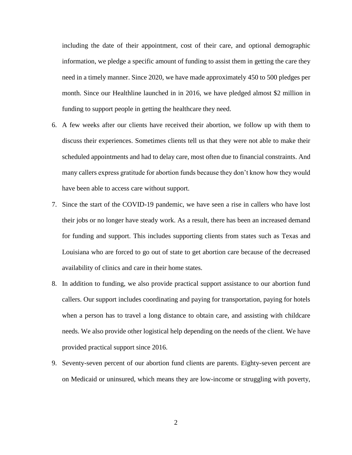including the date of their appointment, cost of their care, and optional demographic information, we pledge a specific amount of funding to assist them in getting the care they need in a timely manner. Since 2020, we have made approximately 450 to 500 pledges per month. Since our Healthline launched in in 2016, we have pledged almost \$2 million in funding to support people in getting the healthcare they need.

- 6. A few weeks after our clients have received their abortion, we follow up with them to discuss their experiences. Sometimes clients tell us that they were not able to make their scheduled appointments and had to delay care, most often due to financial constraints. And many callers express gratitude for abortion funds because they don't know how they would have been able to access care without support.
- 7. Since the start of the COVID-19 pandemic, we have seen a rise in callers who have lost their jobs or no longer have steady work. As a result, there has been an increased demand for funding and support. This includes supporting clients from states such as Texas and Louisiana who are forced to go out of state to get abortion care because of the decreased availability of clinics and care in their home states.
- 8. In addition to funding, we also provide practical support assistance to our abortion fund callers. Our support includes coordinating and paying for transportation, paying for hotels when a person has to travel a long distance to obtain care, and assisting with childcare needs. We also provide other logistical help depending on the needs of the client. We have provided practical support since 2016.
- 9. Seventy-seven percent of our abortion fund clients are parents. Eighty-seven percent are on Medicaid or uninsured, which means they are low-income or struggling with poverty,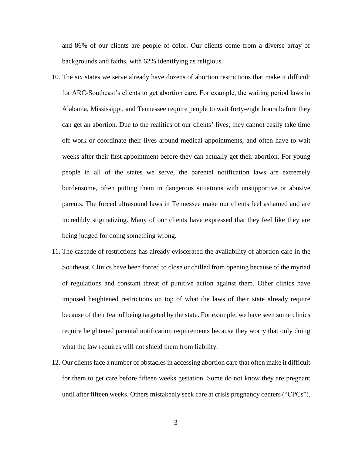and 86% of our clients are people of color. Our clients come from a diverse array of backgrounds and faiths, with 62% identifying as religious.

- 10. The six states we serve already have dozens of abortion restrictions that make it difficult for ARC-Southeast's clients to get abortion care. For example, the waiting period laws in Alabama, Mississippi, and Tennessee require people to wait forty-eight hours before they can get an abortion. Due to the realities of our clients' lives, they cannot easily take time off work or coordinate their lives around medical appointments, and often have to wait weeks after their first appointment before they can actually get their abortion. For young people in all of the states we serve, the parental notification laws are extremely burdensome, often putting them in dangerous situations with unsupportive or abusive parents. The forced ultrasound laws in Tennessee make our clients feel ashamed and are incredibly stigmatizing. Many of our clients have expressed that they feel like they are being judged for doing something wrong.
- 11. The cascade of restrictions has already eviscerated the availability of abortion care in the Southeast. Clinics have been forced to close or chilled from opening because of the myriad of regulations and constant threat of punitive action against them. Other clinics have imposed heightened restrictions on top of what the laws of their state already require because of their fear of being targeted by the state. For example, we have seen some clinics require heightened parental notification requirements because they worry that only doing what the law requires will not shield them from liability.
- 12. Our clients face a number of obstacles in accessing abortion care that often make it difficult for them to get care before fifteen weeks gestation. Some do not know they are pregnant until after fifteen weeks. Others mistakenly seek care at crisis pregnancy centers ("CPCs"),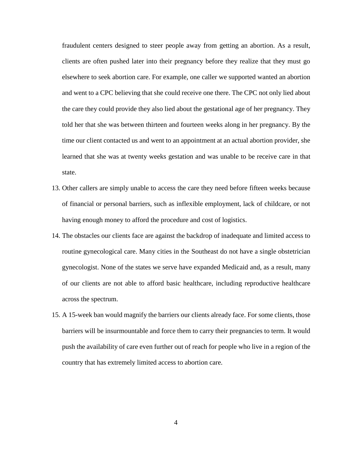fraudulent centers designed to steer people away from getting an abortion. As a result, clients are often pushed later into their pregnancy before they realize that they must go elsewhere to seek abortion care. For example, one caller we supported wanted an abortion and went to a CPC believing that she could receive one there. The CPC not only lied about the care they could provide they also lied about the gestational age of her pregnancy. They told her that she was between thirteen and fourteen weeks along in her pregnancy. By the time our client contacted us and went to an appointment at an actual abortion provider, she learned that she was at twenty weeks gestation and was unable to be receive care in that state.

- 13. Other callers are simply unable to access the care they need before fifteen weeks because of financial or personal barriers, such as inflexible employment, lack of childcare, or not having enough money to afford the procedure and cost of logistics.
- 14. The obstacles our clients face are against the backdrop of inadequate and limited access to routine gynecological care. Many cities in the Southeast do not have a single obstetrician gynecologist. None of the states we serve have expanded Medicaid and, as a result, many of our clients are not able to afford basic healthcare, including reproductive healthcare across the spectrum.
- 15. A 15-week ban would magnify the barriers our clients already face. For some clients, those barriers will be insurmountable and force them to carry their pregnancies to term. It would push the availability of care even further out of reach for people who live in a region of the country that has extremely limited access to abortion care.